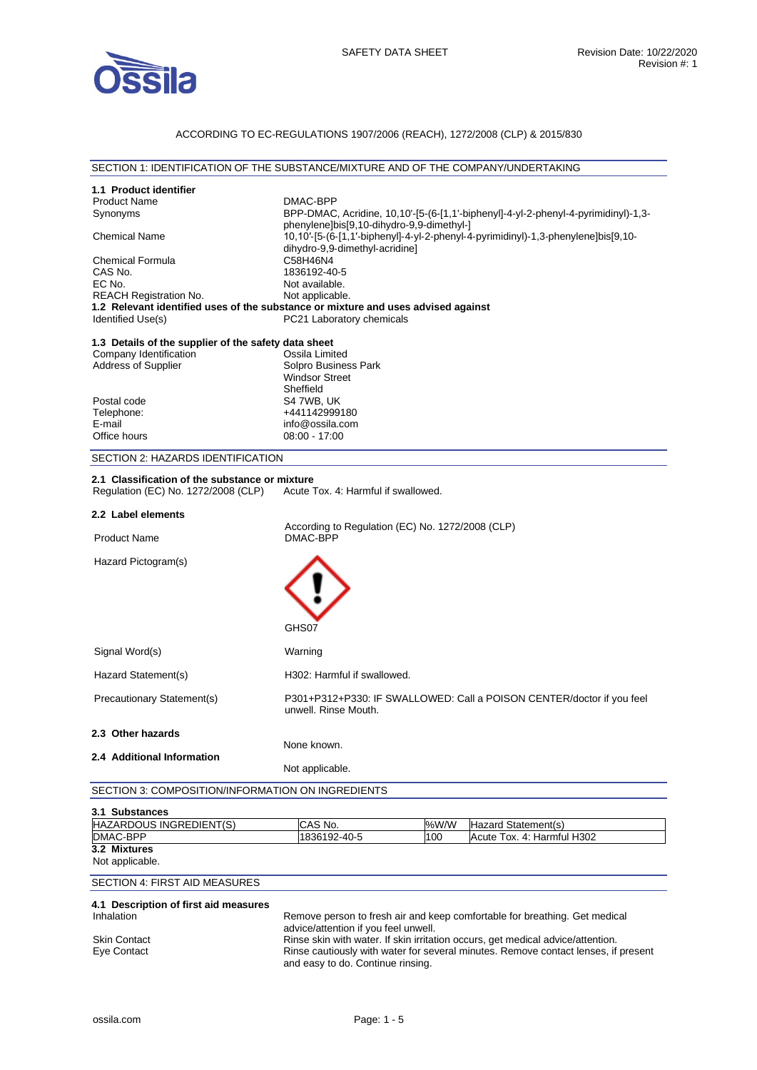

#### ACCORDING TO EC-REGULATIONS 1907/2006 (REACH), 1272/2008 (CLP) & 2015/830

#### SECTION 1: IDENTIFICATION OF THE SUBSTANCE/MIXTURE AND OF THE COMPANY/UNDERTAKING

| 1.1 Product identifier                               |                                                                                    |                            |
|------------------------------------------------------|------------------------------------------------------------------------------------|----------------------------|
| <b>Product Name</b>                                  | DMAC-BPP                                                                           |                            |
| Synonyms                                             | BPP-DMAC, Acridine, 10,10'-[5-(6-[1,1'-biphenyl]-4-yl-2-phenyl-4-pyrimidinyl)-1,3- |                            |
|                                                      | phenylene]bis[9,10-dihydro-9,9-dimethyl-]                                          |                            |
| <b>Chemical Name</b>                                 | 10,10'-[5-(6-[1,1'-biphenyl]-4-yl-2-phenyl-4-pyrimidinyl)-1,3-phenylene]bis[9,10-  |                            |
|                                                      | dihydro-9,9-dimethyl-acridine]                                                     |                            |
| <b>Chemical Formula</b>                              | C58H46N4                                                                           |                            |
| CAS No.                                              | 1836192-40-5                                                                       |                            |
| EC No.                                               | Not available.                                                                     |                            |
| <b>REACH Registration No.</b>                        | Not applicable.                                                                    |                            |
|                                                      | 1.2 Relevant identified uses of the substance or mixture and uses advised against  |                            |
| Identified Use(s)                                    | PC21 Laboratory chemicals                                                          |                            |
| 1.3 Details of the supplier of the safety data sheet |                                                                                    |                            |
| Company Identification                               | Ossila Limited                                                                     |                            |
| <b>Address of Supplier</b>                           | Solpro Business Park                                                               |                            |
|                                                      | <b>Windsor Street</b>                                                              |                            |
|                                                      | Sheffield                                                                          |                            |
| Postal code                                          | S4 7WB, UK                                                                         |                            |
| Telephone:                                           | +441142999180                                                                      |                            |
| E-mail                                               | info@ossila.com                                                                    |                            |
| Office hours                                         | $08:00 - 17:00$                                                                    |                            |
|                                                      |                                                                                    |                            |
| SECTION 2: HAZARDS IDENTIFICATION                    |                                                                                    |                            |
| 2.1 Classification of the substance or mixture       |                                                                                    |                            |
| Regulation (EC) No. 1272/2008 (CLP)                  | Acute Tox, 4: Harmful if swallowed.                                                |                            |
|                                                      |                                                                                    |                            |
| 2.2 Label elements                                   |                                                                                    |                            |
|                                                      | According to Regulation (EC) No. 1272/2008 (CLP)                                   |                            |
| <b>Product Name</b>                                  | DMAC-BPP                                                                           |                            |
|                                                      |                                                                                    |                            |
| Hazard Pictogram(s)                                  |                                                                                    |                            |
|                                                      |                                                                                    |                            |
|                                                      |                                                                                    |                            |
|                                                      |                                                                                    |                            |
|                                                      |                                                                                    |                            |
|                                                      | GHS07                                                                              |                            |
|                                                      |                                                                                    |                            |
| Signal Word(s)                                       | Warning                                                                            |                            |
|                                                      |                                                                                    |                            |
| Hazard Statement(s)                                  | H302: Harmful if swallowed.                                                        |                            |
| Precautionary Statement(s)                           | P301+P312+P330: IF SWALLOWED: Call a POISON CENTER/doctor if you feel              |                            |
|                                                      | unwell. Rinse Mouth.                                                               |                            |
|                                                      |                                                                                    |                            |
| 2.3 Other hazards                                    |                                                                                    |                            |
|                                                      | None known.                                                                        |                            |
| 2.4 Additional Information                           |                                                                                    |                            |
|                                                      | Not applicable.                                                                    |                            |
| SECTION 3: COMPOSITION/INFORMATION ON INGREDIENTS    |                                                                                    |                            |
|                                                      |                                                                                    |                            |
| 3.1 Substances                                       |                                                                                    |                            |
| HAZARDOUS INGREDIENT(S)                              | CAS No.<br>%W/W                                                                    | Hazard Statement(s)        |
| DMAC-BPP                                             | 1836192-40-5<br>100                                                                | Acute Tox. 4: Harmful H302 |
| 2.54                                                 |                                                                                    |                            |

**3.2 Mixtures**  Not applicable.

#### SECTION 4: FIRST AID MEASURES

#### **4.1 Description of first aid measures**  Remove person to fresh air and keep comfortable for breathing. Get medical advice/attention if you feel unwell. Skin Contact **Rinse skin with water. If skin irritation occurs, get medical advice/attention.**<br>Eye Contact **Rinse cautiously with water for several minutes. Remove contact lenses, if** Rinse cautiously with water for several minutes. Remove contact lenses, if present and easy to do. Continue rinsing.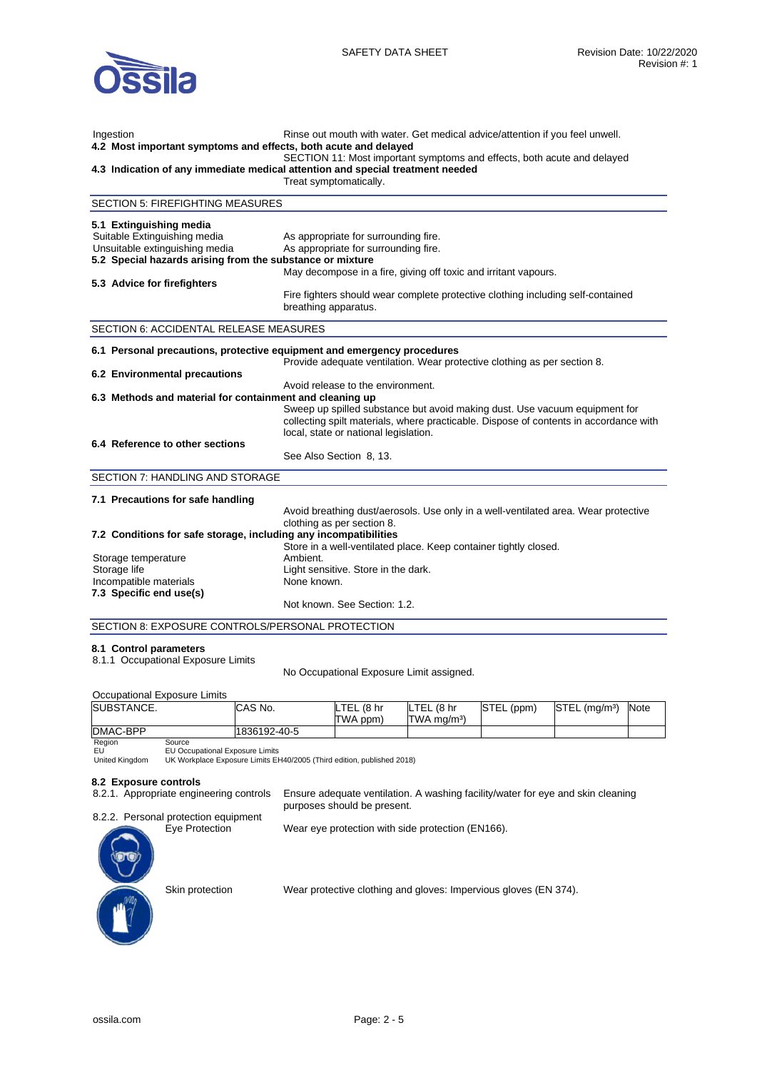

| Ingestion<br>4.2 Most important symptoms and effects, both acute and delayed                                                                                                                            | Rinse out mouth with water. Get medical advice/attention if you feel unwell.<br>SECTION 11: Most important symptoms and effects, both acute and delayed<br>4.3 Indication of any immediate medical attention and special treatment needed<br>Treat symptomatically.                                                                                      |
|---------------------------------------------------------------------------------------------------------------------------------------------------------------------------------------------------------|----------------------------------------------------------------------------------------------------------------------------------------------------------------------------------------------------------------------------------------------------------------------------------------------------------------------------------------------------------|
| <b>SECTION 5: FIREFIGHTING MEASURES</b>                                                                                                                                                                 |                                                                                                                                                                                                                                                                                                                                                          |
| 5.1 Extinguishing media<br>Suitable Extinguishing media<br>Unsuitable extinguishing media<br>5.2 Special hazards arising from the substance or mixture<br>5.3 Advice for firefighters                   | As appropriate for surrounding fire.<br>As appropriate for surrounding fire.<br>May decompose in a fire, giving off toxic and irritant vapours.<br>Fire fighters should wear complete protective clothing including self-contained<br>breathing apparatus.                                                                                               |
| SECTION 6: ACCIDENTAL RELEASE MEASURES                                                                                                                                                                  |                                                                                                                                                                                                                                                                                                                                                          |
| 6.1 Personal precautions, protective equipment and emergency procedures<br>6.2 Environmental precautions<br>6.3 Methods and material for containment and cleaning up<br>6.4 Reference to other sections | Provide adequate ventilation. Wear protective clothing as per section 8.<br>Avoid release to the environment.<br>Sweep up spilled substance but avoid making dust. Use vacuum equipment for<br>collecting spilt materials, where practicable. Dispose of contents in accordance with<br>local, state or national legislation.<br>See Also Section 8, 13. |
| SECTION 7: HANDLING AND STORAGE                                                                                                                                                                         |                                                                                                                                                                                                                                                                                                                                                          |
| 7.1 Precautions for safe handling<br>7.2 Conditions for safe storage, including any incompatibilities<br>Storage temperature<br>Storage life<br>Incompatible materials<br>7.3 Specific end use(s)       | Avoid breathing dust/aerosols. Use only in a well-ventilated area. Wear protective<br>clothing as per section 8.<br>Store in a well-ventilated place. Keep container tightly closed.<br>Ambient.<br>Light sensitive. Store in the dark.<br>None known.<br>Not known. See Section: 1.2.                                                                   |
| SECTION 8: EXPOSURE CONTROLS/PERSONAL PROTECTION                                                                                                                                                        |                                                                                                                                                                                                                                                                                                                                                          |
|                                                                                                                                                                                                         |                                                                                                                                                                                                                                                                                                                                                          |

#### **8.1 Control parameters**

8.1.1 Occupational Exposure Limits

No Occupational Exposure Limit assigned.

| Occupational Exposure Limits              |              |            |                         |            |                           |      |
|-------------------------------------------|--------------|------------|-------------------------|------------|---------------------------|------|
| SUBSTANCE.                                | ICAS No.     | LTEL (8 hr | LTEL (8 hr              | STEL (ppm) | STEL (mg/m <sup>3</sup> ) | Note |
|                                           |              | TWA ppm)   | TWA ma/m <sup>3</sup> ) |            |                           |      |
| DMAC-BPP                                  | 1836192-40-5 |            |                         |            |                           |      |
| $\mathbf{D}$ and $\mathbf{D}$<br><b>C</b> |              |            |                         |            |                           |      |

Region EU

United Kingdom Source EU Occupational Exposure Limits UK Workplace Exposure Limits EH40/2005 (Third edition, published 2018)

## **8.2 Exposure controls**

8.2.1. Appropriate engineering controls Ensure adequate ventilation. A washing facility/water for eye and skin cleaning purposes should be present.

8.2.2. Personal protection equipment<br>Eye Protection

Wear eye protection with side protection (EN166).



Skin protection Wear protective clothing and gloves: Impervious gloves (EN 374).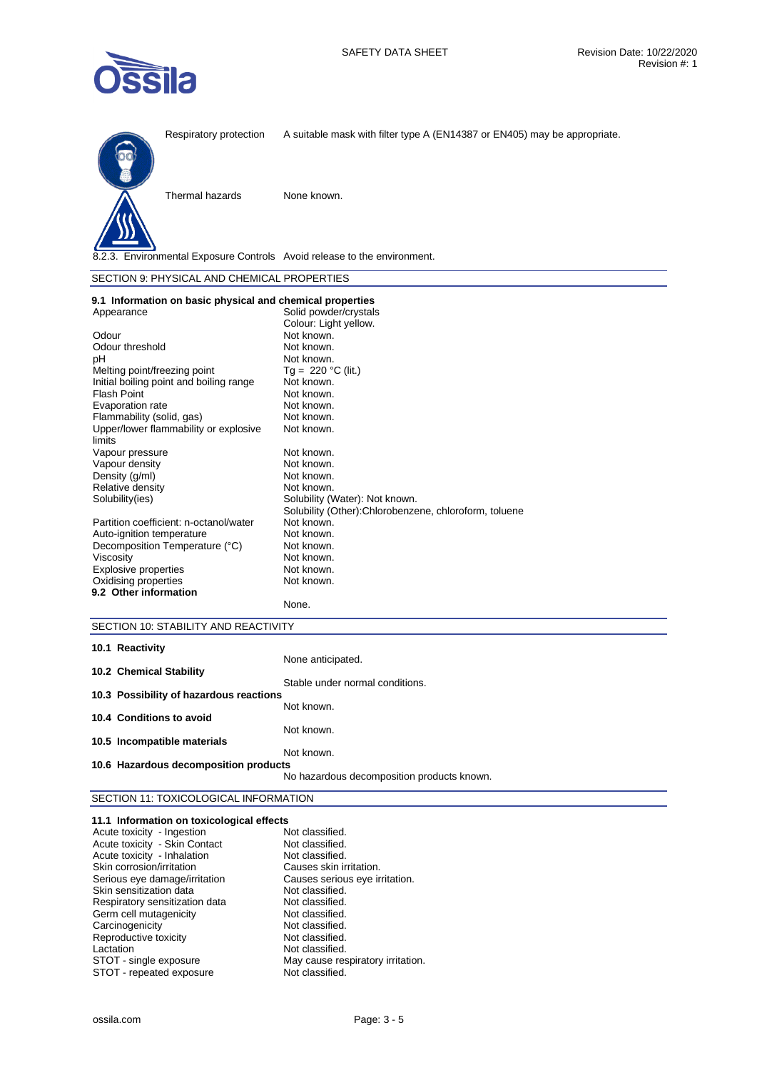



Respiratory protection A suitable mask with filter type A (EN14387 or EN405) may be appropriate.



Thermal hazards None known.

8.2.3. Environmental Exposure Controls Avoid release to the environment.

| SECTION 9: PHYSICAL AND CHEMICAL PROPERTIES |  |  |
|---------------------------------------------|--|--|
|---------------------------------------------|--|--|

| 9.1 Information on basic physical and chemical properties |                                                        |
|-----------------------------------------------------------|--------------------------------------------------------|
| Appearance                                                | Solid powder/crystals                                  |
|                                                           | Colour: Light yellow.                                  |
| Odour                                                     | Not known.                                             |
| Odour threshold                                           | Not known.                                             |
| рH                                                        | Not known.                                             |
| Melting point/freezing point                              | $Tg = 220 °C$ (lit.)                                   |
| Initial boiling point and boiling range                   | Not known.                                             |
| <b>Flash Point</b>                                        | Not known.                                             |
| Evaporation rate                                          | Not known.                                             |
| Flammability (solid, gas)                                 | Not known.                                             |
| Upper/lower flammability or explosive<br>limits           | Not known.                                             |
| Vapour pressure                                           | Not known.                                             |
| Vapour density                                            | Not known.                                             |
| Density (g/ml)                                            | Not known.                                             |
| Relative density                                          | Not known.                                             |
| Solubility(ies)                                           | Solubility (Water): Not known.                         |
|                                                           | Solubility (Other): Chlorobenzene, chloroform, toluene |
| Partition coefficient: n-octanol/water                    | Not known.                                             |
| Auto-ignition temperature                                 | Not known.                                             |
| Decomposition Temperature (°C)                            | Not known.                                             |
| Viscosity                                                 | Not known.                                             |
| Explosive properties                                      | Not known.                                             |
| Oxidising properties                                      | Not known.                                             |
| 9.2 Other information                                     |                                                        |
|                                                           | None.                                                  |

# SECTION 10: STABILITY AND REACTIVITY

| 10.1 Reactivity                         |                                            |
|-----------------------------------------|--------------------------------------------|
|                                         | None anticipated.                          |
| 10.2 Chemical Stability                 |                                            |
|                                         | Stable under normal conditions.            |
| 10.3 Possibility of hazardous reactions |                                            |
|                                         | Not known.                                 |
| 10.4 Conditions to avoid                |                                            |
|                                         | Not known.                                 |
| 10.5 Incompatible materials             |                                            |
|                                         | Not known.                                 |
| 10.6 Hazardous decomposition products   |                                            |
|                                         | No hazardous decomposition products known. |

# SECTION 11: TOXICOLOGICAL INFORMATION

| 11.1 Information on toxicological effects |                                   |
|-------------------------------------------|-----------------------------------|
| Acute toxicity - Ingestion                | Not classified.                   |
| Acute toxicity - Skin Contact             | Not classified.                   |
| Acute toxicity - Inhalation               | Not classified.                   |
| Skin corrosion/irritation                 | Causes skin irritation.           |
| Serious eye damage/irritation             | Causes serious eye irritation.    |
| Skin sensitization data                   | Not classified.                   |
| Respiratory sensitization data            | Not classified.                   |
| Germ cell mutagenicity                    | Not classified.                   |
| Carcinogenicity                           | Not classified.                   |
| Reproductive toxicity                     | Not classified.                   |
| Lactation                                 | Not classified.                   |
| STOT - single exposure                    | May cause respiratory irritation. |
| STOT - repeated exposure                  | Not classified.                   |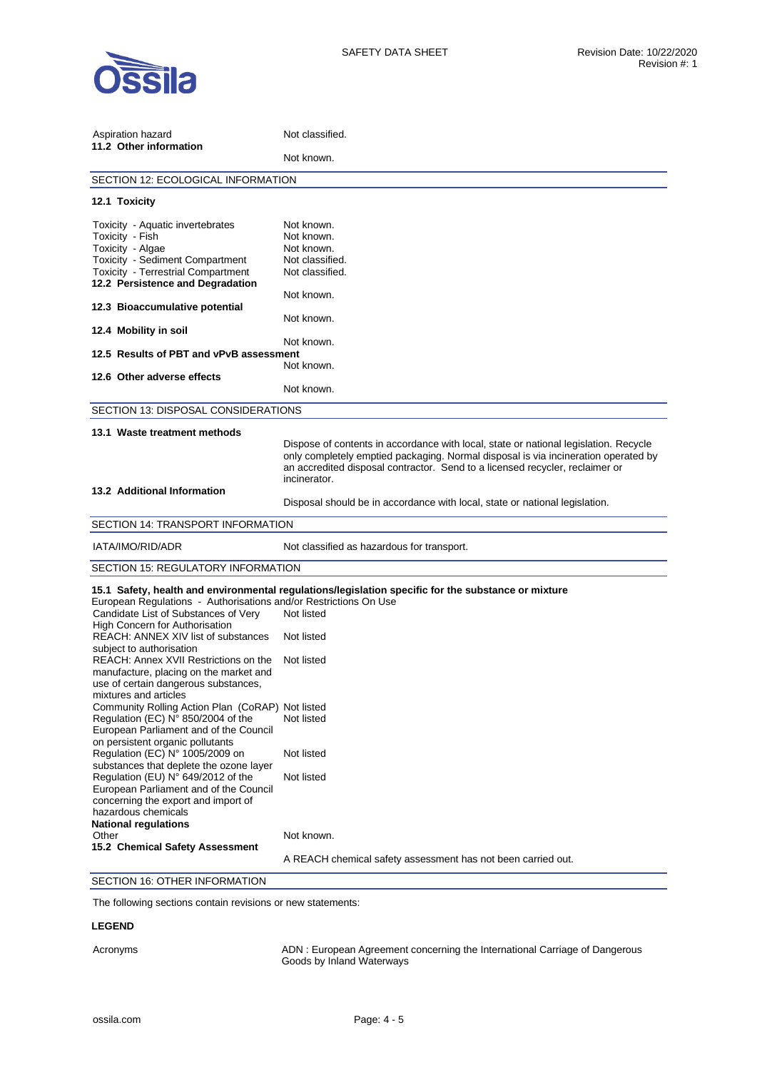

| Aspiration hazard<br>11.2 Other information                                                                                                                                                                                                                                                                                                                       | Not classified.                                                                                                                                                                                                                                                                                                                                           |  |  |
|-------------------------------------------------------------------------------------------------------------------------------------------------------------------------------------------------------------------------------------------------------------------------------------------------------------------------------------------------------------------|-----------------------------------------------------------------------------------------------------------------------------------------------------------------------------------------------------------------------------------------------------------------------------------------------------------------------------------------------------------|--|--|
|                                                                                                                                                                                                                                                                                                                                                                   | Not known.                                                                                                                                                                                                                                                                                                                                                |  |  |
| SECTION 12: ECOLOGICAL INFORMATION                                                                                                                                                                                                                                                                                                                                |                                                                                                                                                                                                                                                                                                                                                           |  |  |
| 12.1 Toxicity                                                                                                                                                                                                                                                                                                                                                     |                                                                                                                                                                                                                                                                                                                                                           |  |  |
| Toxicity - Aquatic invertebrates<br>Toxicity - Fish<br>Toxicity - Algae<br>Toxicity - Sediment Compartment<br><b>Toxicity - Terrestrial Compartment</b><br>12.2 Persistence and Degradation                                                                                                                                                                       | Not known.<br>Not known.<br>Not known.<br>Not classified.<br>Not classified.                                                                                                                                                                                                                                                                              |  |  |
| 12.3 Bioaccumulative potential<br>12.4 Mobility in soil                                                                                                                                                                                                                                                                                                           | Not known.<br>Not known.                                                                                                                                                                                                                                                                                                                                  |  |  |
| 12.5 Results of PBT and vPvB assessment                                                                                                                                                                                                                                                                                                                           | Not known.                                                                                                                                                                                                                                                                                                                                                |  |  |
| 12.6 Other adverse effects                                                                                                                                                                                                                                                                                                                                        | Not known.                                                                                                                                                                                                                                                                                                                                                |  |  |
|                                                                                                                                                                                                                                                                                                                                                                   | Not known.                                                                                                                                                                                                                                                                                                                                                |  |  |
| SECTION 13: DISPOSAL CONSIDERATIONS                                                                                                                                                                                                                                                                                                                               |                                                                                                                                                                                                                                                                                                                                                           |  |  |
| 13.1 Waste treatment methods                                                                                                                                                                                                                                                                                                                                      |                                                                                                                                                                                                                                                                                                                                                           |  |  |
| 13.2 Additional Information                                                                                                                                                                                                                                                                                                                                       | Dispose of contents in accordance with local, state or national legislation. Recycle<br>only completely emptied packaging. Normal disposal is via incineration operated by<br>an accredited disposal contractor. Send to a licensed recycler, reclaimer or<br>incinerator.<br>Disposal should be in accordance with local, state or national legislation. |  |  |
| SECTION 14: TRANSPORT INFORMATION                                                                                                                                                                                                                                                                                                                                 |                                                                                                                                                                                                                                                                                                                                                           |  |  |
| IATA/IMO/RID/ADR                                                                                                                                                                                                                                                                                                                                                  | Not classified as hazardous for transport.                                                                                                                                                                                                                                                                                                                |  |  |
| SECTION 15: REGULATORY INFORMATION                                                                                                                                                                                                                                                                                                                                |                                                                                                                                                                                                                                                                                                                                                           |  |  |
| European Regulations - Authorisations and/or Restrictions On Use<br>Candidate List of Substances of Very<br>High Concern for Authorisation<br>REACH: ANNEX XIV list of substances<br>subiect to authorisation<br>REACH: Annex XVII Restrictions on the<br>manufacture, placing on the market and<br>use of certain dangerous substances,<br>mixtures and articles | 15.1 Safety, health and environmental regulations/legislation specific for the substance or mixture<br>Not listed<br>Not listed<br>Not listed                                                                                                                                                                                                             |  |  |
| Community Rolling Action Plan (CoRAP) Not listed<br>Regulation (EC) N° 850/2004 of the<br>European Parliament and of the Council<br>on persistent organic pollutants                                                                                                                                                                                              | Not listed                                                                                                                                                                                                                                                                                                                                                |  |  |
| Regulation (EC) N° 1005/2009 on<br>substances that deplete the ozone layer<br>Regulation (EU) N° 649/2012 of the<br>European Parliament and of the Council<br>concerning the export and import of<br>hazardous chemicals<br><b>National regulations</b>                                                                                                           | Not listed<br>Not listed                                                                                                                                                                                                                                                                                                                                  |  |  |
| Other<br>15.2 Chemical Safety Assessment                                                                                                                                                                                                                                                                                                                          | Not known.                                                                                                                                                                                                                                                                                                                                                |  |  |
|                                                                                                                                                                                                                                                                                                                                                                   | A REACH chemical safety assessment has not been carried out.                                                                                                                                                                                                                                                                                              |  |  |
| SECTION 16: OTHER INFORMATION                                                                                                                                                                                                                                                                                                                                     |                                                                                                                                                                                                                                                                                                                                                           |  |  |

The following sections contain revisions or new statements:

## **LEGEND**

Acronyms ADN : European Agreement concerning the International Carriage of Dangerous Goods by Inland Waterways